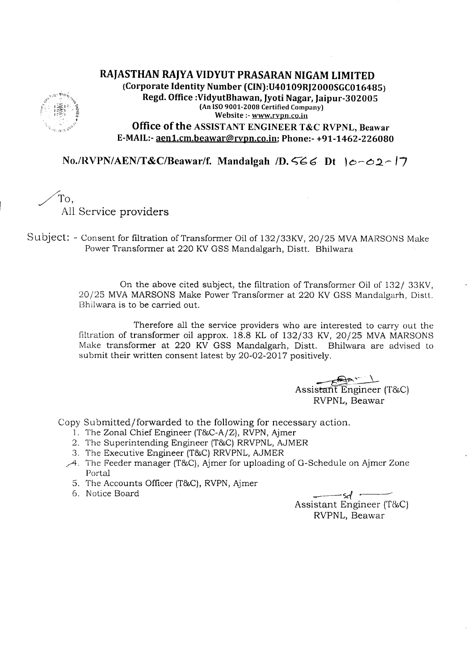## RAJASTHAN RAJYA VIDYUT PRASARAN NIGAM LIMITED (Corporate Identity Number (CIN):U40109RJ2000SGC016485) Regd. Office :VidyutBhawan, Jyoti Nagar, Jaipur-30200S (AnISO9001-2008 Certified Company) Website ;-www.rvpn.co.in Office of the ASSISTANT ENGINEER T&C RVPNL, Beawar E-MAIL:-aen1.cm.beawar@rvpn.co.in; Phone:- +91-1462-226080

No./RVPN/AEN/T&C/Beawar/f. Mandalgah /D.566 Dt  $|c-c2|$ 

/To,

All Service providers

Subject: - Consent for filtration of Transformer Oil of 132/33KV, 20/25 MVA MARSONS Make Power Transformer at 220 KV GSS Mandalgarh, Distt. Bhilwara

> On the above cited subject, the filtration of Transformer Oil of *1321* 33KV, 20/25 MVAMARSONS Make Power Transformer at 220 KV GSS Mandalgarh, Distt. Bhilwara is to be carried out.

> Therefore all the service providers who are interested to carry out the filtration of transformer oil approx.  $18.8$  KL of  $132/33$  KV,  $20/25$  MVA MARSONS Make transformer at 220 KV GSS Mandalgarh, Distt. Bhilwara are advised to submit their written consent latest by 20-02-2017 positively.

> > ~~ Assis<del>ta</del>nt Engineer (T&C) RVPNL, Beawar

Copy Submitted/forwarded to the following for necessary action.

- 1. The Zonal Chief Engineer (T&C-A/Z), RVPN, Ajmer
- 2. The Superintending Engineer (T&C) RRVPNL, AJMER
- 3. The Executive Engineer (T&C) RRVPNL, AJMER
- *.A.* The Feeder manager (T&C),Ajmer for uploading of G-Schedule on Ajmer Zone Portal
	- 5. The Accounts Officer (T&C),RVPN,Ajmer 6. Notice Board -sc(
	-

Assistant Engineer (T&C) RVPNL, Beawar